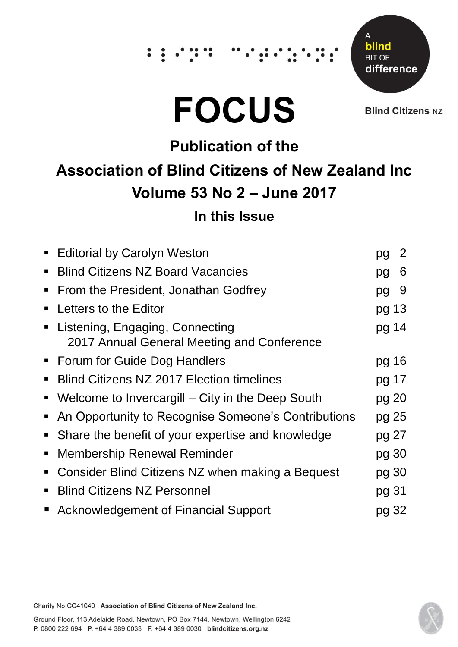# $\dddot{\hspace{0.1cm}}$  :





**Blind Citizens NZ** 

## **Publication of the Association of Blind Citizens of New Zealand Inc Volume 53 No 2 – June 2017**

### **In this Issue**

| <b>Editorial by Carolyn Weston</b>                                              | pg    | 2 |
|---------------------------------------------------------------------------------|-------|---|
| <b>Blind Citizens NZ Board Vacancies</b><br>$\blacksquare$                      | pg    | 6 |
| From the President, Jonathan Godfrey<br>٠                                       | pg    | 9 |
| Letters to the Editor<br>п                                                      | pg 13 |   |
| • Listening, Engaging, Connecting<br>2017 Annual General Meeting and Conference | pg 14 |   |
| • Forum for Guide Dog Handlers                                                  | pg 16 |   |
| <b>Blind Citizens NZ 2017 Election timelines</b><br>$\blacksquare$              | pg 17 |   |
| • Welcome to Invercargill - City in the Deep South                              | pg 20 |   |
| • An Opportunity to Recognise Someone's Contributions                           | pg 25 |   |
| • Share the benefit of your expertise and knowledge                             | pg 27 |   |
| <b>Membership Renewal Reminder</b><br>Ξ                                         | pg 30 |   |
| Consider Blind Citizens NZ when making a Bequest<br>$\blacksquare$              | pg 30 |   |
| <b>Blind Citizens NZ Personnel</b><br>$\blacksquare$                            | pg 31 |   |
| ■ Acknowledgement of Financial Support                                          | pg 32 |   |

Charity No.CC41040 Association of Blind Citizens of New Zealand Inc.

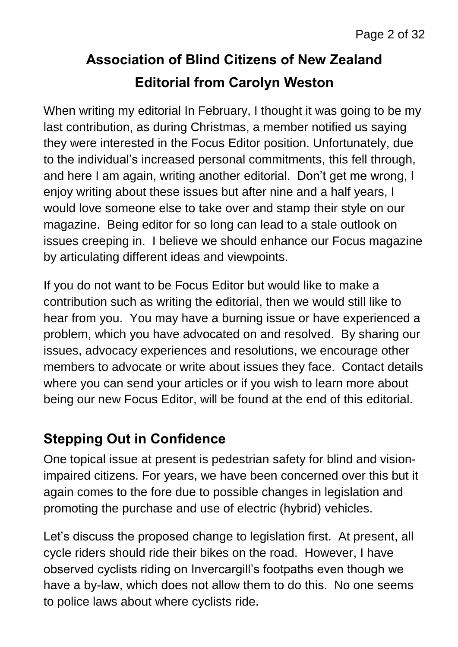### **Association of Blind Citizens of New Zealand Editorial from Carolyn Weston**

When writing my editorial In February, I thought it was going to be my last contribution, as during Christmas, a member notified us saying they were interested in the Focus Editor position. Unfortunately, due to the individual's increased personal commitments, this fell through, and here I am again, writing another editorial. Don't get me wrong, I enjoy writing about these issues but after nine and a half years, I would love someone else to take over and stamp their style on our magazine. Being editor for so long can lead to a stale outlook on issues creeping in. I believe we should enhance our Focus magazine by articulating different ideas and viewpoints.

If you do not want to be Focus Editor but would like to make a contribution such as writing the editorial, then we would still like to hear from you. You may have a burning issue or have experienced a problem, which you have advocated on and resolved. By sharing our issues, advocacy experiences and resolutions, we encourage other members to advocate or write about issues they face. Contact details where you can send your articles or if you wish to learn more about being our new Focus Editor, will be found at the end of this editorial.

### **Stepping Out in Confidence**

One topical issue at present is pedestrian safety for blind and visionimpaired citizens. For years, we have been concerned over this but it again comes to the fore due to possible changes in legislation and promoting the purchase and use of electric (hybrid) vehicles.

Let's discuss the proposed change to legislation first. At present, all cycle riders should ride their bikes on the road. However, I have observed cyclists riding on Invercargill's footpaths even though we have a by-law, which does not allow them to do this. No one seems to police laws about where cyclists ride.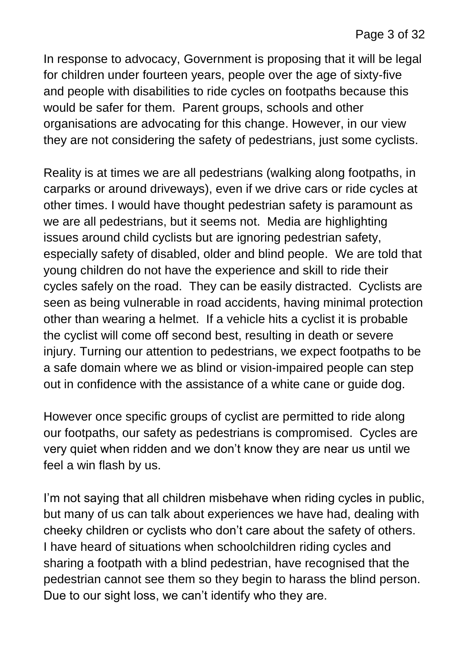In response to advocacy, Government is proposing that it will be legal for children under fourteen years, people over the age of sixty-five and people with disabilities to ride cycles on footpaths because this would be safer for them. Parent groups, schools and other organisations are advocating for this change. However, in our view they are not considering the safety of pedestrians, just some cyclists.

Reality is at times we are all pedestrians (walking along footpaths, in carparks or around driveways), even if we drive cars or ride cycles at other times. I would have thought pedestrian safety is paramount as we are all pedestrians, but it seems not. Media are highlighting issues around child cyclists but are ignoring pedestrian safety, especially safety of disabled, older and blind people. We are told that young children do not have the experience and skill to ride their cycles safely on the road. They can be easily distracted. Cyclists are seen as being vulnerable in road accidents, having minimal protection other than wearing a helmet. If a vehicle hits a cyclist it is probable the cyclist will come off second best, resulting in death or severe injury. Turning our attention to pedestrians, we expect footpaths to be a safe domain where we as blind or vision-impaired people can step out in confidence with the assistance of a white cane or guide dog.

However once specific groups of cyclist are permitted to ride along our footpaths, our safety as pedestrians is compromised. Cycles are very quiet when ridden and we don't know they are near us until we feel a win flash by us.

I'm not saying that all children misbehave when riding cycles in public, but many of us can talk about experiences we have had, dealing with cheeky children or cyclists who don't care about the safety of others. I have heard of situations when schoolchildren riding cycles and sharing a footpath with a blind pedestrian, have recognised that the pedestrian cannot see them so they begin to harass the blind person. Due to our sight loss, we can't identify who they are.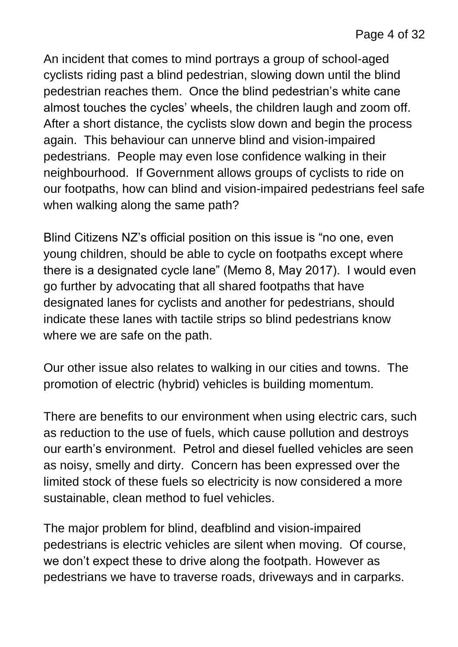An incident that comes to mind portrays a group of school-aged cyclists riding past a blind pedestrian, slowing down until the blind pedestrian reaches them. Once the blind pedestrian's white cane almost touches the cycles' wheels, the children laugh and zoom off. After a short distance, the cyclists slow down and begin the process again. This behaviour can unnerve blind and vision-impaired pedestrians. People may even lose confidence walking in their neighbourhood. If Government allows groups of cyclists to ride on our footpaths, how can blind and vision-impaired pedestrians feel safe when walking along the same path?

Blind Citizens NZ's official position on this issue is "no one, even young children, should be able to cycle on footpaths except where there is a designated cycle lane" (Memo 8, May 2017). I would even go further by advocating that all shared footpaths that have designated lanes for cyclists and another for pedestrians, should indicate these lanes with tactile strips so blind pedestrians know where we are safe on the path.

Our other issue also relates to walking in our cities and towns. The promotion of electric (hybrid) vehicles is building momentum.

There are benefits to our environment when using electric cars, such as reduction to the use of fuels, which cause pollution and destroys our earth's environment. Petrol and diesel fuelled vehicles are seen as noisy, smelly and dirty. Concern has been expressed over the limited stock of these fuels so electricity is now considered a more sustainable, clean method to fuel vehicles.

The major problem for blind, deafblind and vision-impaired pedestrians is electric vehicles are silent when moving. Of course, we don't expect these to drive along the footpath. However as pedestrians we have to traverse roads, driveways and in carparks.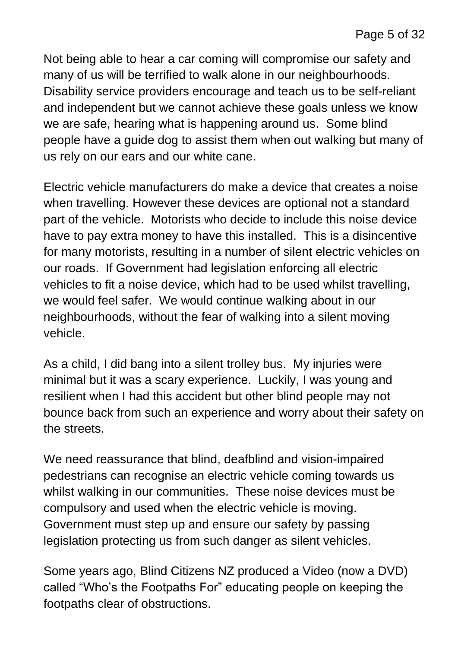Not being able to hear a car coming will compromise our safety and many of us will be terrified to walk alone in our neighbourhoods. Disability service providers encourage and teach us to be self-reliant and independent but we cannot achieve these goals unless we know we are safe, hearing what is happening around us. Some blind people have a guide dog to assist them when out walking but many of us rely on our ears and our white cane.

Electric vehicle manufacturers do make a device that creates a noise when travelling. However these devices are optional not a standard part of the vehicle. Motorists who decide to include this noise device have to pay extra money to have this installed. This is a disincentive for many motorists, resulting in a number of silent electric vehicles on our roads. If Government had legislation enforcing all electric vehicles to fit a noise device, which had to be used whilst travelling, we would feel safer. We would continue walking about in our neighbourhoods, without the fear of walking into a silent moving vehicle.

As a child, I did bang into a silent trolley bus. My injuries were minimal but it was a scary experience. Luckily, I was young and resilient when I had this accident but other blind people may not bounce back from such an experience and worry about their safety on the streets.

We need reassurance that blind, deafblind and vision-impaired pedestrians can recognise an electric vehicle coming towards us whilst walking in our communities. These noise devices must be compulsory and used when the electric vehicle is moving. Government must step up and ensure our safety by passing legislation protecting us from such danger as silent vehicles.

Some years ago, Blind Citizens NZ produced a Video (now a DVD) called "Who's the Footpaths For" educating people on keeping the footpaths clear of obstructions.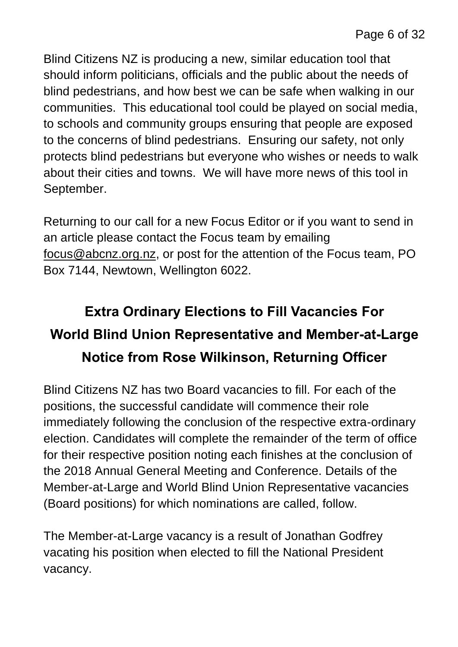Blind Citizens NZ is producing a new, similar education tool that should inform politicians, officials and the public about the needs of blind pedestrians, and how best we can be safe when walking in our communities. This educational tool could be played on social media, to schools and community groups ensuring that people are exposed to the concerns of blind pedestrians. Ensuring our safety, not only protects blind pedestrians but everyone who wishes or needs to walk about their cities and towns. We will have more news of this tool in September.

Returning to our call for a new Focus Editor or if you want to send in an article please contact the Focus team by emailing [focus@abcnz.org.nz,](mailto:focus@abcnz.org.nz) or post for the attention of the Focus team, PO Box 7144, Newtown, Wellington 6022.

### **Extra Ordinary Elections to Fill Vacancies For World Blind Union Representative and Member-at-Large Notice from Rose Wilkinson, Returning Officer**

Blind Citizens NZ has two Board vacancies to fill. For each of the positions, the successful candidate will commence their role immediately following the conclusion of the respective extra-ordinary election. Candidates will complete the remainder of the term of office for their respective position noting each finishes at the conclusion of the 2018 Annual General Meeting and Conference. Details of the Member-at-Large and World Blind Union Representative vacancies (Board positions) for which nominations are called, follow.

The Member-at-Large vacancy is a result of Jonathan Godfrey vacating his position when elected to fill the National President vacancy.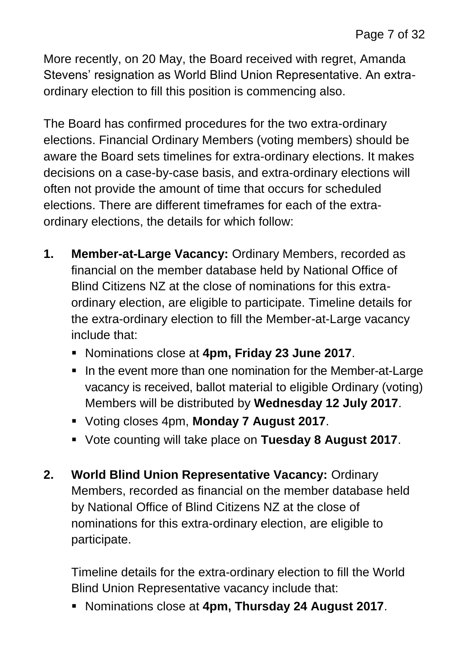More recently, on 20 May, the Board received with regret, Amanda Stevens' resignation as World Blind Union Representative. An extraordinary election to fill this position is commencing also.

The Board has confirmed procedures for the two extra-ordinary elections. Financial Ordinary Members (voting members) should be aware the Board sets timelines for extra-ordinary elections. It makes decisions on a case-by-case basis, and extra-ordinary elections will often not provide the amount of time that occurs for scheduled elections. There are different timeframes for each of the extraordinary elections, the details for which follow:

- **1. Member-at-Large Vacancy:** Ordinary Members, recorded as financial on the member database held by National Office of Blind Citizens NZ at the close of nominations for this extraordinary election, are eligible to participate. Timeline details for the extra-ordinary election to fill the Member-at-Large vacancy include that:
	- Nominations close at **4pm, Friday 23 June 2017**.
	- In the event more than one nomination for the Member-at-Large vacancy is received, ballot material to eligible Ordinary (voting) Members will be distributed by **Wednesday 12 July 2017**.
	- Voting closes 4pm, **Monday 7 August 2017**.
	- Vote counting will take place on **Tuesday 8 August 2017**.
- **2. World Blind Union Representative Vacancy:** Ordinary Members, recorded as financial on the member database held by National Office of Blind Citizens NZ at the close of nominations for this extra-ordinary election, are eligible to participate.

Timeline details for the extra-ordinary election to fill the World Blind Union Representative vacancy include that:

Nominations close at **4pm, Thursday 24 August 2017**.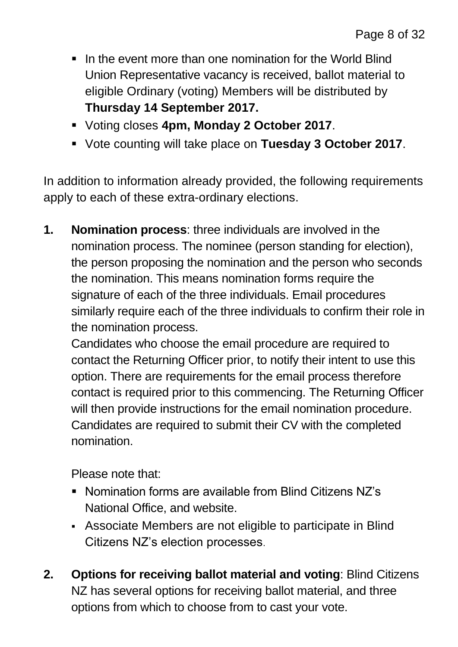- If the event more than one nomination for the World Blind Union Representative vacancy is received, ballot material to eligible Ordinary (voting) Members will be distributed by **Thursday 14 September 2017.**
- Voting closes **4pm, Monday 2 October 2017**.
- Vote counting will take place on **Tuesday 3 October 2017**.

In addition to information already provided, the following requirements apply to each of these extra-ordinary elections.

**1. Nomination process**: three individuals are involved in the nomination process. The nominee (person standing for election), the person proposing the nomination and the person who seconds the nomination. This means nomination forms require the signature of each of the three individuals. Email procedures similarly require each of the three individuals to confirm their role in the nomination process.

Candidates who choose the email procedure are required to contact the Returning Officer prior, to notify their intent to use this option. There are requirements for the email process therefore contact is required prior to this commencing. The Returning Officer will then provide instructions for the email nomination procedure. Candidates are required to submit their CV with the completed nomination.

Please note that:

- Nomination forms are available from Blind Citizens NZ's National Office, and website.
- Associate Members are not eligible to participate in Blind Citizens NZ's election processes.
- **2. Options for receiving ballot material and voting**: Blind Citizens NZ has several options for receiving ballot material, and three options from which to choose from to cast your vote.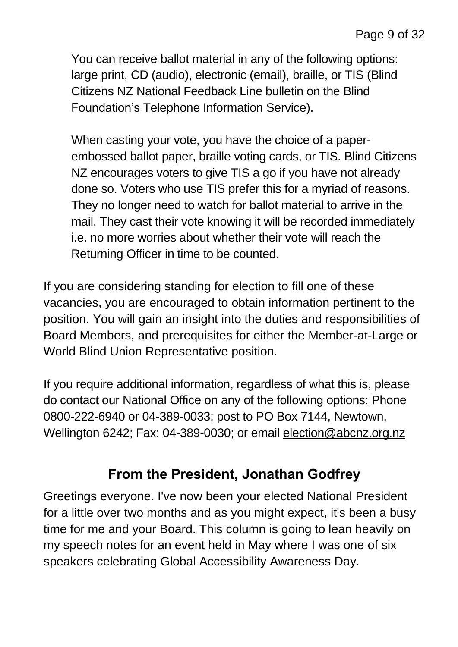You can receive ballot material in any of the following options: large print, CD (audio), electronic (email), braille, or TIS (Blind Citizens NZ National Feedback Line bulletin on the Blind Foundation's Telephone Information Service).

When casting your vote, you have the choice of a paperembossed ballot paper, braille voting cards, or TIS. Blind Citizens NZ encourages voters to give TIS a go if you have not already done so. Voters who use TIS prefer this for a myriad of reasons. They no longer need to watch for ballot material to arrive in the mail. They cast their vote knowing it will be recorded immediately i.e. no more worries about whether their vote will reach the Returning Officer in time to be counted.

If you are considering standing for election to fill one of these vacancies, you are encouraged to obtain information pertinent to the position. You will gain an insight into the duties and responsibilities of Board Members, and prerequisites for either the Member-at-Large or World Blind Union Representative position.

If you require additional information, regardless of what this is, please do contact our National Office on any of the following options: Phone 0800-222-6940 or 04-389-0033; post to PO Box 7144, Newtown, Wellington 6242; Fax: 04-389-0030; or email [election@abcnz.org.nz](mailto:election@abcnz.org.nz)

### **From the President, Jonathan Godfrey**

Greetings everyone. I've now been your elected National President for a little over two months and as you might expect, it's been a busy time for me and your Board. This column is going to lean heavily on my speech notes for an event held in May where I was one of six speakers celebrating Global Accessibility Awareness Day.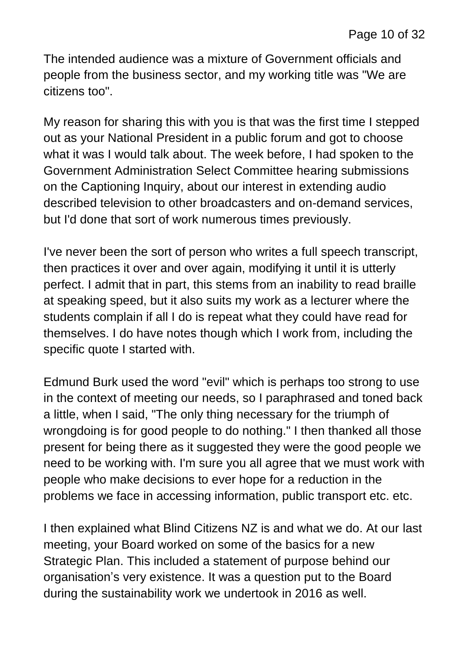The intended audience was a mixture of Government officials and people from the business sector, and my working title was "We are citizens too".

My reason for sharing this with you is that was the first time I stepped out as your National President in a public forum and got to choose what it was I would talk about. The week before, I had spoken to the Government Administration Select Committee hearing submissions on the Captioning Inquiry, about our interest in extending audio described television to other broadcasters and on-demand services, but I'd done that sort of work numerous times previously.

I've never been the sort of person who writes a full speech transcript, then practices it over and over again, modifying it until it is utterly perfect. I admit that in part, this stems from an inability to read braille at speaking speed, but it also suits my work as a lecturer where the students complain if all I do is repeat what they could have read for themselves. I do have notes though which I work from, including the specific quote I started with.

Edmund Burk used the word "evil" which is perhaps too strong to use in the context of meeting our needs, so I paraphrased and toned back a little, when I said, "The only thing necessary for the triumph of wrongdoing is for good people to do nothing." I then thanked all those present for being there as it suggested they were the good people we need to be working with. I'm sure you all agree that we must work with people who make decisions to ever hope for a reduction in the problems we face in accessing information, public transport etc. etc.

I then explained what Blind Citizens NZ is and what we do. At our last meeting, your Board worked on some of the basics for a new Strategic Plan. This included a statement of purpose behind our organisation's very existence. It was a question put to the Board during the sustainability work we undertook in 2016 as well.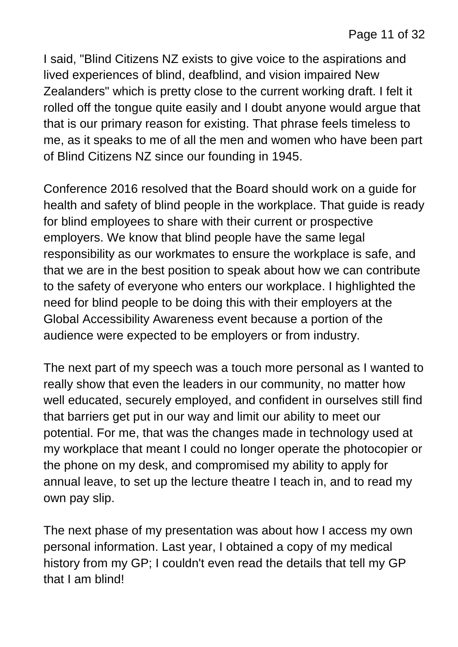I said, "Blind Citizens NZ exists to give voice to the aspirations and lived experiences of blind, deafblind, and vision impaired New Zealanders" which is pretty close to the current working draft. I felt it rolled off the tongue quite easily and I doubt anyone would argue that that is our primary reason for existing. That phrase feels timeless to me, as it speaks to me of all the men and women who have been part of Blind Citizens NZ since our founding in 1945.

Conference 2016 resolved that the Board should work on a guide for health and safety of blind people in the workplace. That guide is ready for blind employees to share with their current or prospective employers. We know that blind people have the same legal responsibility as our workmates to ensure the workplace is safe, and that we are in the best position to speak about how we can contribute to the safety of everyone who enters our workplace. I highlighted the need for blind people to be doing this with their employers at the Global Accessibility Awareness event because a portion of the audience were expected to be employers or from industry.

The next part of my speech was a touch more personal as I wanted to really show that even the leaders in our community, no matter how well educated, securely employed, and confident in ourselves still find that barriers get put in our way and limit our ability to meet our potential. For me, that was the changes made in technology used at my workplace that meant I could no longer operate the photocopier or the phone on my desk, and compromised my ability to apply for annual leave, to set up the lecture theatre I teach in, and to read my own pay slip.

The next phase of my presentation was about how I access my own personal information. Last year, I obtained a copy of my medical history from my GP; I couldn't even read the details that tell my GP that I am blind!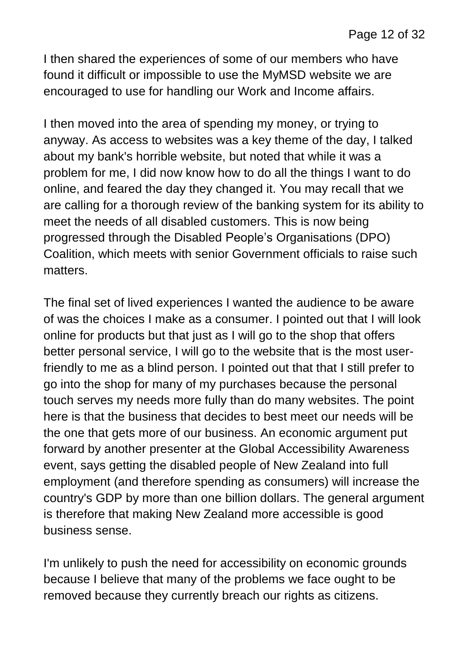I then shared the experiences of some of our members who have found it difficult or impossible to use the MyMSD website we are encouraged to use for handling our Work and Income affairs.

I then moved into the area of spending my money, or trying to anyway. As access to websites was a key theme of the day, I talked about my bank's horrible website, but noted that while it was a problem for me, I did now know how to do all the things I want to do online, and feared the day they changed it. You may recall that we are calling for a thorough review of the banking system for its ability to meet the needs of all disabled customers. This is now being progressed through the Disabled People's Organisations (DPO) Coalition, which meets with senior Government officials to raise such matters.

The final set of lived experiences I wanted the audience to be aware of was the choices I make as a consumer. I pointed out that I will look online for products but that just as I will go to the shop that offers better personal service, I will go to the website that is the most userfriendly to me as a blind person. I pointed out that that I still prefer to go into the shop for many of my purchases because the personal touch serves my needs more fully than do many websites. The point here is that the business that decides to best meet our needs will be the one that gets more of our business. An economic argument put forward by another presenter at the Global Accessibility Awareness event, says getting the disabled people of New Zealand into full employment (and therefore spending as consumers) will increase the country's GDP by more than one billion dollars. The general argument is therefore that making New Zealand more accessible is good business sense.

I'm unlikely to push the need for accessibility on economic grounds because I believe that many of the problems we face ought to be removed because they currently breach our rights as citizens.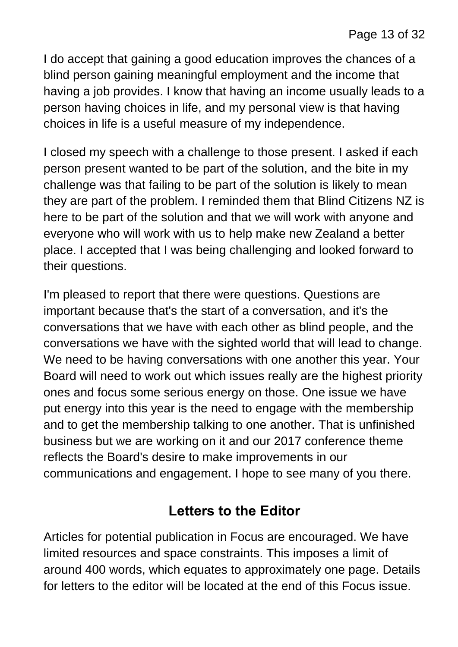I do accept that gaining a good education improves the chances of a blind person gaining meaningful employment and the income that having a job provides. I know that having an income usually leads to a person having choices in life, and my personal view is that having choices in life is a useful measure of my independence.

I closed my speech with a challenge to those present. I asked if each person present wanted to be part of the solution, and the bite in my challenge was that failing to be part of the solution is likely to mean they are part of the problem. I reminded them that Blind Citizens NZ is here to be part of the solution and that we will work with anyone and everyone who will work with us to help make new Zealand a better place. I accepted that I was being challenging and looked forward to their questions.

I'm pleased to report that there were questions. Questions are important because that's the start of a conversation, and it's the conversations that we have with each other as blind people, and the conversations we have with the sighted world that will lead to change. We need to be having conversations with one another this year. Your Board will need to work out which issues really are the highest priority ones and focus some serious energy on those. One issue we have put energy into this year is the need to engage with the membership and to get the membership talking to one another. That is unfinished business but we are working on it and our 2017 conference theme reflects the Board's desire to make improvements in our communications and engagement. I hope to see many of you there.

### **Letters to the Editor**

Articles for potential publication in Focus are encouraged. We have limited resources and space constraints. This imposes a limit of around 400 words, which equates to approximately one page. Details for letters to the editor will be located at the end of this Focus issue.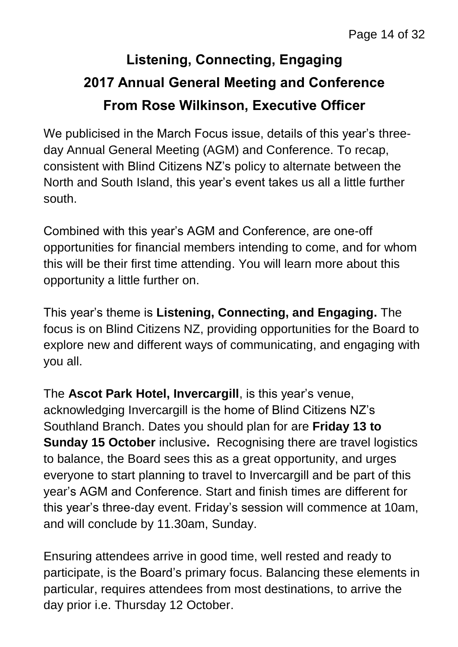### **Listening, Connecting, Engaging 2017 Annual General Meeting and Conference From Rose Wilkinson, Executive Officer**

We publicised in the March Focus issue, details of this year's threeday Annual General Meeting (AGM) and Conference. To recap, consistent with Blind Citizens NZ's policy to alternate between the North and South Island, this year's event takes us all a little further south.

Combined with this year's AGM and Conference, are one-off opportunities for financial members intending to come, and for whom this will be their first time attending. You will learn more about this opportunity a little further on.

This year's theme is **Listening, Connecting, and Engaging.** The focus is on Blind Citizens NZ, providing opportunities for the Board to explore new and different ways of communicating, and engaging with you all.

The **Ascot Park Hotel, Invercargill**, is this year's venue, acknowledging Invercargill is the home of Blind Citizens NZ's Southland Branch. Dates you should plan for are **Friday 13 to Sunday 15 October** inclusive**.** Recognising there are travel logistics to balance, the Board sees this as a great opportunity, and urges everyone to start planning to travel to Invercargill and be part of this year's AGM and Conference. Start and finish times are different for this year's three-day event. Friday's session will commence at 10am, and will conclude by 11.30am, Sunday.

Ensuring attendees arrive in good time, well rested and ready to participate, is the Board's primary focus. Balancing these elements in particular, requires attendees from most destinations, to arrive the day prior i.e. Thursday 12 October.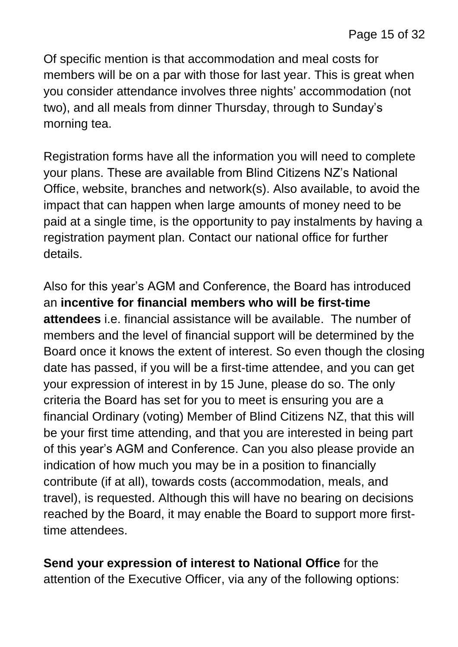Of specific mention is that accommodation and meal costs for members will be on a par with those for last year. This is great when you consider attendance involves three nights' accommodation (not two), and all meals from dinner Thursday, through to Sunday's morning tea.

Registration forms have all the information you will need to complete your plans. These are available from Blind Citizens NZ's National Office, website, branches and network(s). Also available, to avoid the impact that can happen when large amounts of money need to be paid at a single time, is the opportunity to pay instalments by having a registration payment plan. Contact our national office for further details.

Also for this year's AGM and Conference, the Board has introduced an **incentive for financial members who will be first-time attendees** i.e. financial assistance will be available. The number of members and the level of financial support will be determined by the Board once it knows the extent of interest. So even though the closing date has passed, if you will be a first-time attendee, and you can get your expression of interest in by 15 June, please do so. The only criteria the Board has set for you to meet is ensuring you are a financial Ordinary (voting) Member of Blind Citizens NZ, that this will be your first time attending, and that you are interested in being part of this year's AGM and Conference. Can you also please provide an indication of how much you may be in a position to financially contribute (if at all), towards costs (accommodation, meals, and travel), is requested. Although this will have no bearing on decisions reached by the Board, it may enable the Board to support more firsttime attendees.

**Send your expression of interest to National Office** for the attention of the Executive Officer, via any of the following options: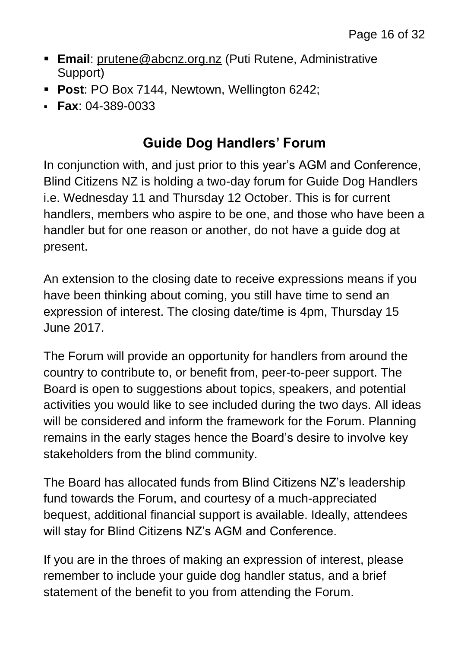- **Email**: [prutene@abcnz.org.nz](mailto:prutene@abcnz.org.nz) (Puti Rutene, Administrative Support)
- **Post**: PO Box 7144, Newtown, Wellington 6242;
- **Fax**: 04-389-0033

### **Guide Dog Handlers' Forum**

In conjunction with, and just prior to this year's AGM and Conference, Blind Citizens NZ is holding a two-day forum for Guide Dog Handlers i.e. Wednesday 11 and Thursday 12 October. This is for current handlers, members who aspire to be one, and those who have been a handler but for one reason or another, do not have a guide dog at present.

An extension to the closing date to receive expressions means if you have been thinking about coming, you still have time to send an expression of interest. The closing date/time is 4pm, Thursday 15 June 2017.

The Forum will provide an opportunity for handlers from around the country to contribute to, or benefit from, peer-to-peer support. The Board is open to suggestions about topics, speakers, and potential activities you would like to see included during the two days. All ideas will be considered and inform the framework for the Forum. Planning remains in the early stages hence the Board's desire to involve key stakeholders from the blind community.

The Board has allocated funds from Blind Citizens NZ's leadership fund towards the Forum, and courtesy of a much-appreciated bequest, additional financial support is available. Ideally, attendees will stay for Blind Citizens NZ's AGM and Conference.

If you are in the throes of making an expression of interest, please remember to include your guide dog handler status, and a brief statement of the benefit to you from attending the Forum.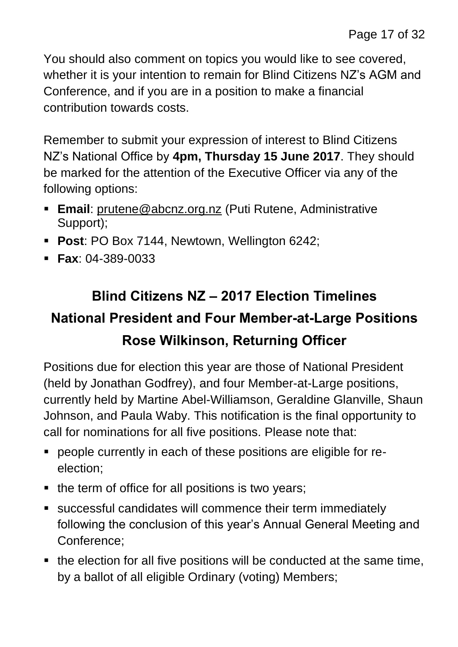You should also comment on topics you would like to see covered, whether it is your intention to remain for Blind Citizens NZ's AGM and Conference, and if you are in a position to make a financial contribution towards costs.

Remember to submit your expression of interest to Blind Citizens NZ's National Office by **4pm, Thursday 15 June 2017**. They should be marked for the attention of the Executive Officer via any of the following options:

- **Email**: [prutene@abcnz.org.nz](mailto:prutene@abcnz.org.nz) (Puti Rutene, Administrative Support);
- **Post**: PO Box 7144, Newtown, Wellington 6242;
- **Fax**: 04-389-0033

### **Blind Citizens NZ – 2017 Election Timelines National President and Four Member-at-Large Positions Rose Wilkinson, Returning Officer**

Positions due for election this year are those of National President (held by Jonathan Godfrey), and four Member-at-Large positions, currently held by Martine Abel-Williamson, Geraldine Glanville, Shaun Johnson, and Paula Waby. This notification is the final opportunity to call for nominations for all five positions. Please note that:

- people currently in each of these positions are eligible for reelection;
- $\blacksquare$  the term of office for all positions is two years;
- successful candidates will commence their term immediately following the conclusion of this year's Annual General Meeting and Conference;
- the election for all five positions will be conducted at the same time, by a ballot of all eligible Ordinary (voting) Members;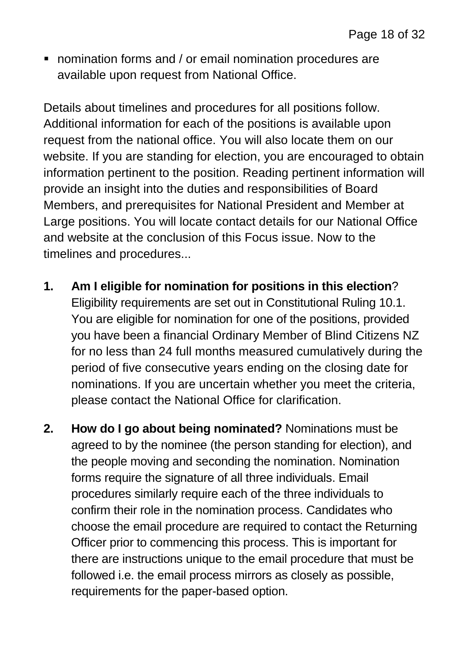nomination forms and / or email nomination procedures are available upon request from National Office.

Details about timelines and procedures for all positions follow. Additional information for each of the positions is available upon request from the national office. You will also locate them on our website. If you are standing for election, you are encouraged to obtain information pertinent to the position. Reading pertinent information will provide an insight into the duties and responsibilities of Board Members, and prerequisites for National President and Member at Large positions. You will locate contact details for our National Office and website at the conclusion of this Focus issue. Now to the timelines and procedures...

- **1. Am I eligible for nomination for positions in this election**? Eligibility requirements are set out in Constitutional Ruling 10.1. You are eligible for nomination for one of the positions, provided you have been a financial Ordinary Member of Blind Citizens NZ for no less than 24 full months measured cumulatively during the period of five consecutive years ending on the closing date for nominations. If you are uncertain whether you meet the criteria, please contact the National Office for clarification.
- **2. How do I go about being nominated?** Nominations must be agreed to by the nominee (the person standing for election), and the people moving and seconding the nomination. Nomination forms require the signature of all three individuals. Email procedures similarly require each of the three individuals to confirm their role in the nomination process. Candidates who choose the email procedure are required to contact the Returning Officer prior to commencing this process. This is important for there are instructions unique to the email procedure that must be followed i.e. the email process mirrors as closely as possible, requirements for the paper-based option.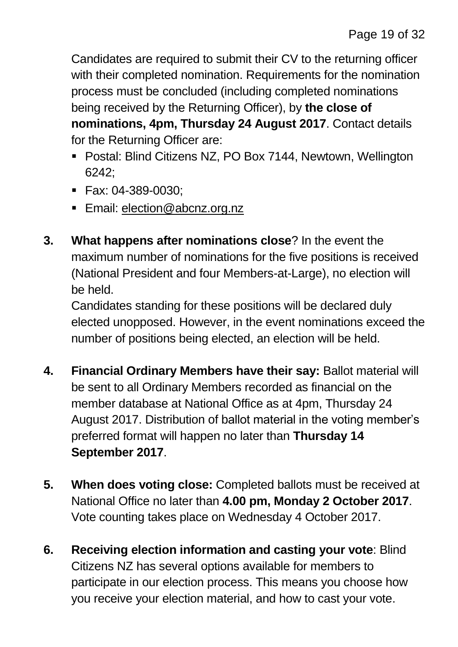Candidates are required to submit their CV to the returning officer with their completed nomination. Requirements for the nomination process must be concluded (including completed nominations being received by the Returning Officer), by **the close of nominations, 4pm, Thursday 24 August 2017**. Contact details for the Returning Officer are:

- Postal: Blind Citizens NZ, PO Box 7144, Newtown, Wellington 6242;
- Fax: 04-389-0030;
- **Email: [election@abcnz.org.nz](mailto:election@abcnz.org.nz)**
- **3. What happens after nominations close**? In the event the maximum number of nominations for the five positions is received (National President and four Members-at-Large), no election will be held.

Candidates standing for these positions will be declared duly elected unopposed. However, in the event nominations exceed the number of positions being elected, an election will be held.

- **4. Financial Ordinary Members have their say:** Ballot material will be sent to all Ordinary Members recorded as financial on the member database at National Office as at 4pm, Thursday 24 August 2017. Distribution of ballot material in the voting member's preferred format will happen no later than **Thursday 14 September 2017**.
- **5. When does voting close:** Completed ballots must be received at National Office no later than **4.00 pm, Monday 2 October 2017**. Vote counting takes place on Wednesday 4 October 2017.
- **6. Receiving election information and casting your vote**: Blind Citizens NZ has several options available for members to participate in our election process. This means you choose how you receive your election material, and how to cast your vote.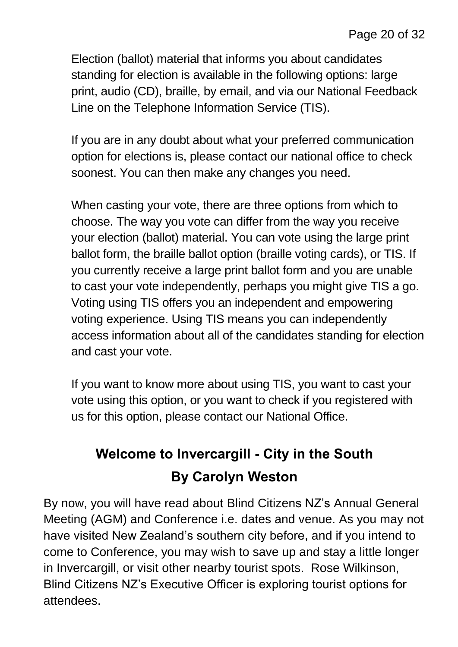Election (ballot) material that informs you about candidates standing for election is available in the following options: large print, audio (CD), braille, by email, and via our National Feedback Line on the Telephone Information Service (TIS).

If you are in any doubt about what your preferred communication option for elections is, please contact our national office to check soonest. You can then make any changes you need.

When casting your vote, there are three options from which to choose. The way you vote can differ from the way you receive your election (ballot) material. You can vote using the large print ballot form, the braille ballot option (braille voting cards), or TIS. If you currently receive a large print ballot form and you are unable to cast your vote independently, perhaps you might give TIS a go. Voting using TIS offers you an independent and empowering voting experience. Using TIS means you can independently access information about all of the candidates standing for election and cast your vote.

If you want to know more about using TIS, you want to cast your vote using this option, or you want to check if you registered with us for this option, please contact our National Office.

### **Welcome to Invercargill - City in the South By Carolyn Weston**

By now, you will have read about Blind Citizens NZ's Annual General Meeting (AGM) and Conference i.e. dates and venue. As you may not have visited New Zealand's southern city before, and if you intend to come to Conference, you may wish to save up and stay a little longer in Invercargill, or visit other nearby tourist spots. Rose Wilkinson, Blind Citizens NZ's Executive Officer is exploring tourist options for attendees.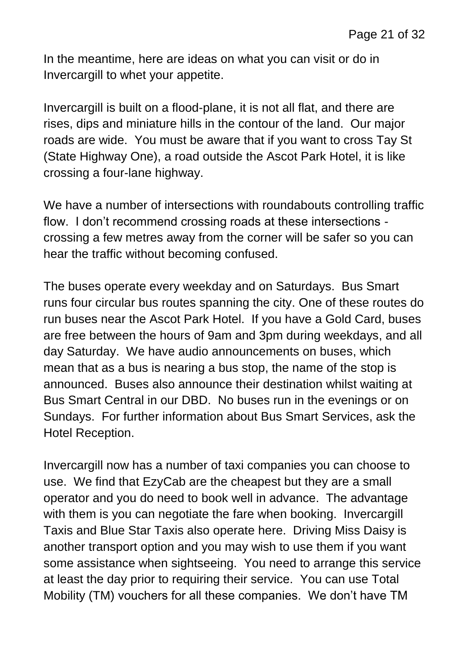In the meantime, here are ideas on what you can visit or do in Invercargill to whet your appetite.

Invercargill is built on a flood-plane, it is not all flat, and there are rises, dips and miniature hills in the contour of the land. Our major roads are wide. You must be aware that if you want to cross Tay St (State Highway One), a road outside the Ascot Park Hotel, it is like crossing a four-lane highway.

We have a number of intersections with roundabouts controlling traffic flow. I don't recommend crossing roads at these intersections crossing a few metres away from the corner will be safer so you can hear the traffic without becoming confused.

The buses operate every weekday and on Saturdays. Bus Smart runs four circular bus routes spanning the city. One of these routes do run buses near the Ascot Park Hotel. If you have a Gold Card, buses are free between the hours of 9am and 3pm during weekdays, and all day Saturday. We have audio announcements on buses, which mean that as a bus is nearing a bus stop, the name of the stop is announced. Buses also announce their destination whilst waiting at Bus Smart Central in our DBD. No buses run in the evenings or on Sundays. For further information about Bus Smart Services, ask the Hotel Reception.

Invercargill now has a number of taxi companies you can choose to use. We find that EzyCab are the cheapest but they are a small operator and you do need to book well in advance. The advantage with them is you can negotiate the fare when booking. Invercargill Taxis and Blue Star Taxis also operate here. Driving Miss Daisy is another transport option and you may wish to use them if you want some assistance when sightseeing. You need to arrange this service at least the day prior to requiring their service. You can use Total Mobility (TM) vouchers for all these companies. We don't have TM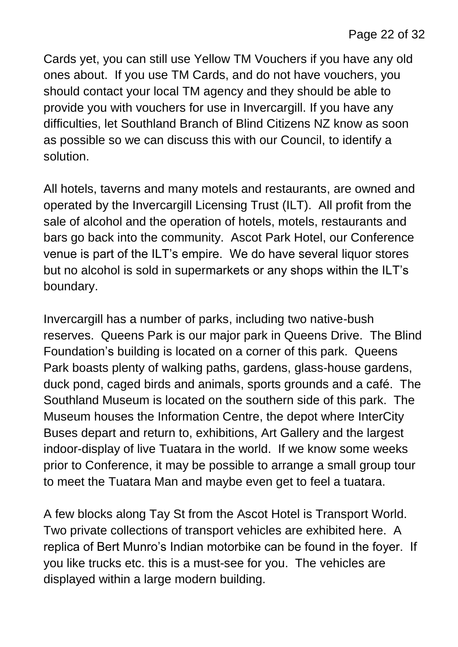Cards yet, you can still use Yellow TM Vouchers if you have any old ones about. If you use TM Cards, and do not have vouchers, you should contact your local TM agency and they should be able to provide you with vouchers for use in Invercargill. If you have any difficulties, let Southland Branch of Blind Citizens NZ know as soon as possible so we can discuss this with our Council, to identify a solution.

All hotels, taverns and many motels and restaurants, are owned and operated by the Invercargill Licensing Trust (ILT). All profit from the sale of alcohol and the operation of hotels, motels, restaurants and bars go back into the community. Ascot Park Hotel, our Conference venue is part of the ILT's empire. We do have several liquor stores but no alcohol is sold in supermarkets or any shops within the ILT's boundary.

Invercargill has a number of parks, including two native-bush reserves. Queens Park is our major park in Queens Drive. The Blind Foundation's building is located on a corner of this park. Queens Park boasts plenty of walking paths, gardens, glass-house gardens, duck pond, caged birds and animals, sports grounds and a café. The Southland Museum is located on the southern side of this park. The Museum houses the Information Centre, the depot where InterCity Buses depart and return to, exhibitions, Art Gallery and the largest indoor-display of live Tuatara in the world. If we know some weeks prior to Conference, it may be possible to arrange a small group tour to meet the Tuatara Man and maybe even get to feel a tuatara.

A few blocks along Tay St from the Ascot Hotel is Transport World. Two private collections of transport vehicles are exhibited here. A replica of Bert Munro's Indian motorbike can be found in the foyer. If you like trucks etc. this is a must-see for you. The vehicles are displayed within a large modern building.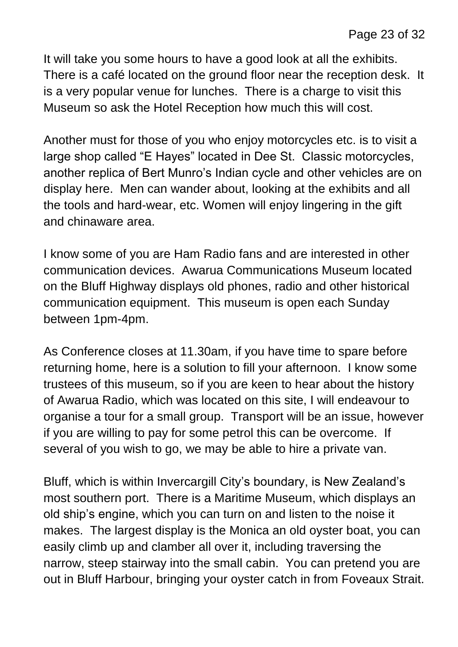It will take you some hours to have a good look at all the exhibits. There is a café located on the ground floor near the reception desk. It is a very popular venue for lunches. There is a charge to visit this Museum so ask the Hotel Reception how much this will cost.

Another must for those of you who enjoy motorcycles etc. is to visit a large shop called "E Hayes" located in Dee St. Classic motorcycles, another replica of Bert Munro's Indian cycle and other vehicles are on display here. Men can wander about, looking at the exhibits and all the tools and hard-wear, etc. Women will enjoy lingering in the gift and chinaware area.

I know some of you are Ham Radio fans and are interested in other communication devices. Awarua Communications Museum located on the Bluff Highway displays old phones, radio and other historical communication equipment. This museum is open each Sunday between 1pm-4pm.

As Conference closes at 11.30am, if you have time to spare before returning home, here is a solution to fill your afternoon. I know some trustees of this museum, so if you are keen to hear about the history of Awarua Radio, which was located on this site, I will endeavour to organise a tour for a small group. Transport will be an issue, however if you are willing to pay for some petrol this can be overcome. If several of you wish to go, we may be able to hire a private van.

Bluff, which is within Invercargill City's boundary, is New Zealand's most southern port. There is a Maritime Museum, which displays an old ship's engine, which you can turn on and listen to the noise it makes. The largest display is the Monica an old oyster boat, you can easily climb up and clamber all over it, including traversing the narrow, steep stairway into the small cabin. You can pretend you are out in Bluff Harbour, bringing your oyster catch in from Foveaux Strait.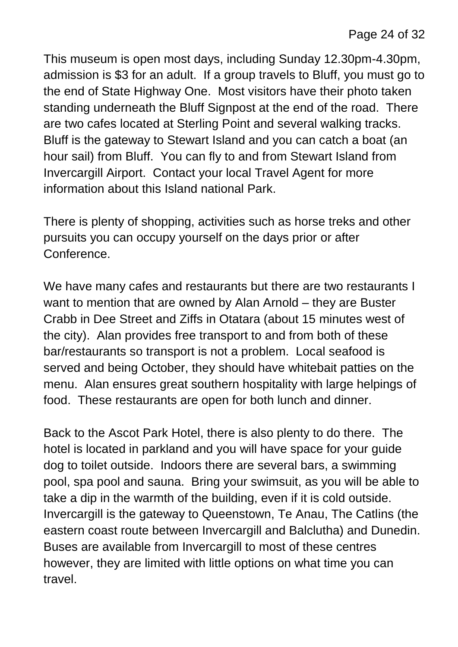This museum is open most days, including Sunday 12.30pm-4.30pm, admission is \$3 for an adult. If a group travels to Bluff, you must go to the end of State Highway One. Most visitors have their photo taken standing underneath the Bluff Signpost at the end of the road. There are two cafes located at Sterling Point and several walking tracks. Bluff is the gateway to Stewart Island and you can catch a boat (an hour sail) from Bluff. You can fly to and from Stewart Island from Invercargill Airport. Contact your local Travel Agent for more information about this Island national Park.

There is plenty of shopping, activities such as horse treks and other pursuits you can occupy yourself on the days prior or after Conference.

We have many cafes and restaurants but there are two restaurants I want to mention that are owned by Alan Arnold – they are Buster Crabb in Dee Street and Ziffs in Otatara (about 15 minutes west of the city). Alan provides free transport to and from both of these bar/restaurants so transport is not a problem. Local seafood is served and being October, they should have whitebait patties on the menu. Alan ensures great southern hospitality with large helpings of food. These restaurants are open for both lunch and dinner.

Back to the Ascot Park Hotel, there is also plenty to do there. The hotel is located in parkland and you will have space for your guide dog to toilet outside. Indoors there are several bars, a swimming pool, spa pool and sauna. Bring your swimsuit, as you will be able to take a dip in the warmth of the building, even if it is cold outside. Invercargill is the gateway to Queenstown, Te Anau, The Catlins (the eastern coast route between Invercargill and Balclutha) and Dunedin. Buses are available from Invercargill to most of these centres however, they are limited with little options on what time you can travel.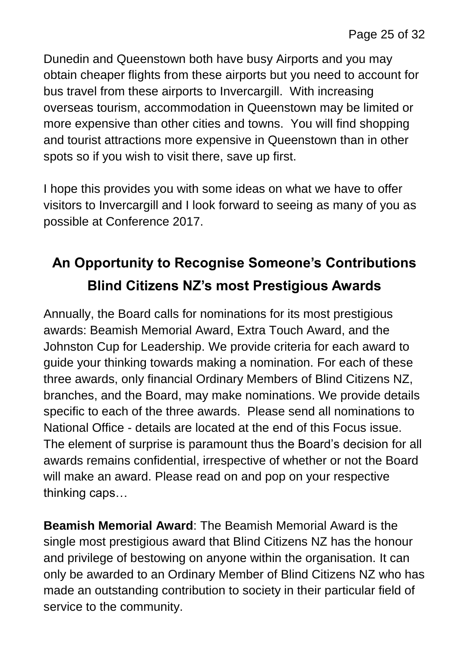Dunedin and Queenstown both have busy Airports and you may obtain cheaper flights from these airports but you need to account for bus travel from these airports to Invercargill. With increasing overseas tourism, accommodation in Queenstown may be limited or more expensive than other cities and towns. You will find shopping and tourist attractions more expensive in Queenstown than in other spots so if you wish to visit there, save up first.

I hope this provides you with some ideas on what we have to offer visitors to Invercargill and I look forward to seeing as many of you as possible at Conference 2017.

### **An Opportunity to Recognise Someone's Contributions Blind Citizens NZ's most Prestigious Awards**

Annually, the Board calls for nominations for its most prestigious awards: Beamish Memorial Award, Extra Touch Award, and the Johnston Cup for Leadership. We provide criteria for each award to guide your thinking towards making a nomination. For each of these three awards, only financial Ordinary Members of Blind Citizens NZ, branches, and the Board, may make nominations. We provide details specific to each of the three awards. Please send all nominations to National Office - details are located at the end of this Focus issue. The element of surprise is paramount thus the Board's decision for all awards remains confidential, irrespective of whether or not the Board will make an award. Please read on and pop on your respective thinking caps…

**Beamish Memorial Award**: The Beamish Memorial Award is the single most prestigious award that Blind Citizens NZ has the honour and privilege of bestowing on anyone within the organisation. It can only be awarded to an Ordinary Member of Blind Citizens NZ who has made an outstanding contribution to society in their particular field of service to the community.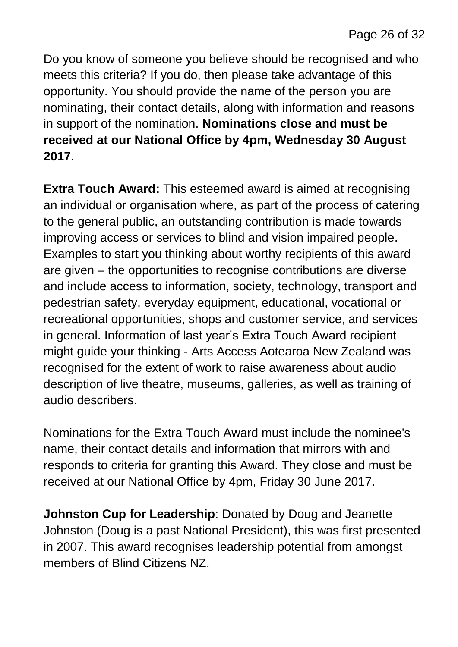Do you know of someone you believe should be recognised and who meets this criteria? If you do, then please take advantage of this opportunity. You should provide the name of the person you are nominating, their contact details, along with information and reasons in support of the nomination. **Nominations close and must be received at our National Office by 4pm, Wednesday 30 August 2017**.

**Extra Touch Award:** This esteemed award is aimed at recognising an individual or organisation where, as part of the process of catering to the general public, an outstanding contribution is made towards improving access or services to blind and vision impaired people. Examples to start you thinking about worthy recipients of this award are given – the opportunities to recognise contributions are diverse and include access to information, society, technology, transport and pedestrian safety, everyday equipment, educational, vocational or recreational opportunities, shops and customer service, and services in general. Information of last year's Extra Touch Award recipient might guide your thinking - Arts Access Aotearoa New Zealand was recognised for the extent of work to raise awareness about audio description of live theatre, museums, galleries, as well as training of audio describers.

Nominations for the Extra Touch Award must include the nominee's name, their contact details and information that mirrors with and responds to criteria for granting this Award. They close and must be received at our National Office by 4pm, Friday 30 June 2017.

**Johnston Cup for Leadership**: Donated by Doug and Jeanette Johnston (Doug is a past National President), this was first presented in 2007. This award recognises leadership potential from amongst members of Blind Citizens NZ.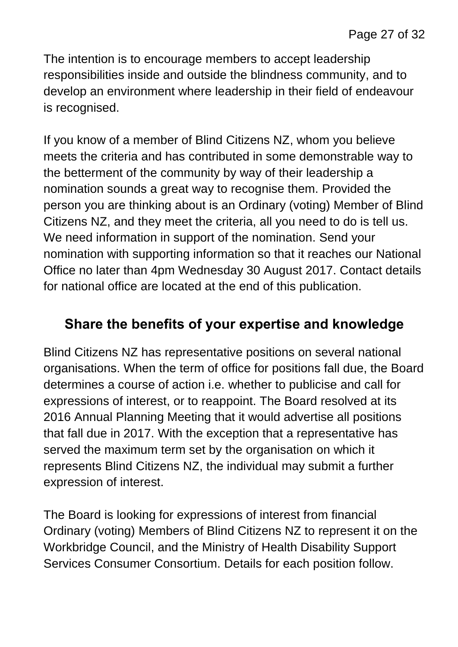The intention is to encourage members to accept leadership responsibilities inside and outside the blindness community, and to develop an environment where leadership in their field of endeavour is recognised.

If you know of a member of Blind Citizens NZ, whom you believe meets the criteria and has contributed in some demonstrable way to the betterment of the community by way of their leadership a nomination sounds a great way to recognise them. Provided the person you are thinking about is an Ordinary (voting) Member of Blind Citizens NZ, and they meet the criteria, all you need to do is tell us. We need information in support of the nomination. Send your nomination with supporting information so that it reaches our National Office no later than 4pm Wednesday 30 August 2017. Contact details for national office are located at the end of this publication.

#### **Share the benefits of your expertise and knowledge**

Blind Citizens NZ has representative positions on several national organisations. When the term of office for positions fall due, the Board determines a course of action i.e. whether to publicise and call for expressions of interest, or to reappoint. The Board resolved at its 2016 Annual Planning Meeting that it would advertise all positions that fall due in 2017. With the exception that a representative has served the maximum term set by the organisation on which it represents Blind Citizens NZ, the individual may submit a further expression of interest.

The Board is looking for expressions of interest from financial Ordinary (voting) Members of Blind Citizens NZ to represent it on the Workbridge Council, and the Ministry of Health Disability Support Services Consumer Consortium. Details for each position follow.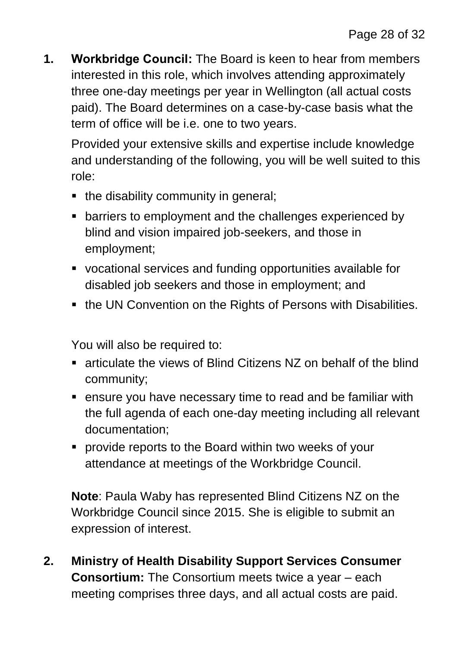**1. Workbridge Council:** The Board is keen to hear from members interested in this role, which involves attending approximately three one-day meetings per year in Wellington (all actual costs paid). The Board determines on a case-by-case basis what the term of office will be i.e. one to two years.

Provided your extensive skills and expertise include knowledge and understanding of the following, you will be well suited to this role:

- the disability community in general;
- **EXTERN** barriers to employment and the challenges experienced by blind and vision impaired job-seekers, and those in employment;
- vocational services and funding opportunities available for disabled job seekers and those in employment; and
- the UN Convention on the Rights of Persons with Disabilities.

You will also be required to:

- articulate the views of Blind Citizens NZ on behalf of the blind community;
- ensure you have necessary time to read and be familiar with the full agenda of each one-day meeting including all relevant documentation;
- provide reports to the Board within two weeks of your attendance at meetings of the Workbridge Council.

**Note**: Paula Waby has represented Blind Citizens NZ on the Workbridge Council since 2015. She is eligible to submit an expression of interest.

**2. Ministry of Health Disability Support Services Consumer Consortium:** The Consortium meets twice a year – each meeting comprises three days, and all actual costs are paid.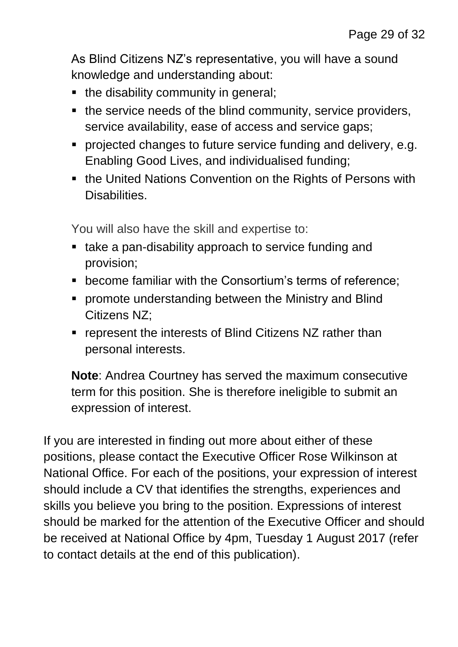As Blind Citizens NZ's representative, you will have a sound knowledge and understanding about:

- the disability community in general;
- the service needs of the blind community, service providers, service availability, ease of access and service gaps;
- **Perofected changes to future service funding and delivery, e.g.** Enabling Good Lives, and individualised funding;
- the United Nations Convention on the Rights of Persons with Disabilities.

You will also have the skill and expertise to:

- take a pan-disability approach to service funding and provision;
- **EX** become familiar with the Consortium's terms of reference:
- **promote understanding between the Ministry and Blind** Citizens NZ;
- **F** represent the interests of Blind Citizens NZ rather than personal interests.

**Note**: Andrea Courtney has served the maximum consecutive term for this position. She is therefore ineligible to submit an expression of interest.

If you are interested in finding out more about either of these positions, please contact the Executive Officer Rose Wilkinson at National Office. For each of the positions, your expression of interest should include a CV that identifies the strengths, experiences and skills you believe you bring to the position. Expressions of interest should be marked for the attention of the Executive Officer and should be received at National Office by 4pm, Tuesday 1 August 2017 (refer to contact details at the end of this publication).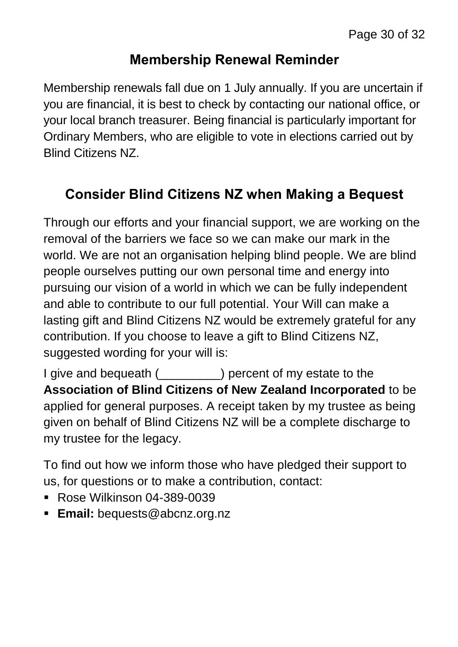#### **Membership Renewal Reminder**

Membership renewals fall due on 1 July annually. If you are uncertain if you are financial, it is best to check by contacting our national office, or your local branch treasurer. Being financial is particularly important for Ordinary Members, who are eligible to vote in elections carried out by Blind Citizens NZ.

### **Consider Blind Citizens NZ when Making a Bequest**

Through our efforts and your financial support, we are working on the removal of the barriers we face so we can make our mark in the world. We are not an organisation helping blind people. We are blind people ourselves putting our own personal time and energy into pursuing our vision of a world in which we can be fully independent and able to contribute to our full potential. Your Will can make a lasting gift and Blind Citizens NZ would be extremely grateful for any contribution. If you choose to leave a gift to Blind Citizens NZ, suggested wording for your will is:

I give and bequeath (\_\_\_\_\_\_\_\_\_) percent of my estate to the **Association of Blind Citizens of New Zealand Incorporated** to be applied for general purposes. A receipt taken by my trustee as being given on behalf of Blind Citizens NZ will be a complete discharge to my trustee for the legacy.

To find out how we inform those who have pledged their support to us, for questions or to make a contribution, contact:

- Rose Wilkinson 04-389-0039
- **Email:** bequests@abcnz.org.nz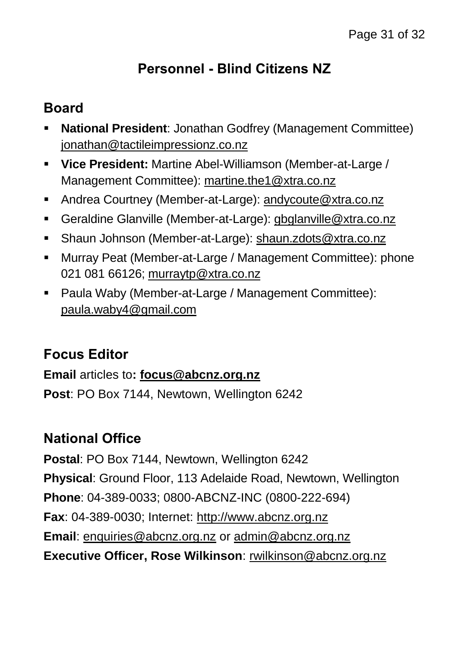#### **Personnel - Blind Citizens NZ**

#### **Board**

- **National President**: Jonathan Godfrey (Management Committee) [jonathan@tactileimpressionz.co.nz](mailto:jonathan@tactileimpressionz.co.nz)
- **Vice President:** Martine Abel-Williamson (Member-at-Large / Management Committee): [martine.the1@xtra.co.nz](mailto:martine.the1@xtra.co.nz)
- Andrea Courtney (Member-at-Large): [andycoute@xtra.co.nz](mailto:andycoute@xtra.co.nz)
- Geraldine Glanville (Member-at-Large): [gbglanville@xtra.co.nz](mailto:gbglanville@xtra.co.nz)
- Shaun Johnson (Member-at-Large): [shaun.zdots@xtra.co.nz](mailto:shaun.zdots@xtra.co.nz%20co.nz)
- Murray Peat (Member-at-Large / Management Committee): phone 021 081 66126; [murraytp@xtra.co.nz](mailto:murraytp@xtra.co.nz)
- Paula Waby (Member-at-Large / Management Committee): [paula.waby4@gmail.com](mailto:paula.waby4@gmail.com)

#### **Focus Editor**

**Email** articles to**: [focus@abcnz.org.nz](mailto:focus@abcnz.org.nz) Post**: PO Box 7144, Newtown, Wellington 6242

#### **National Office**

**Postal**: PO Box 7144, Newtown, Wellington 6242 **Physical**: Ground Floor, 113 Adelaide Road, Newtown, Wellington **Phone**: 04-389-0033; 0800-ABCNZ-INC (0800-222-694) **Fax**: 04-389-0030; Internet: [http://www.abcnz.org.nz](http://www.abcnz.org.nz/) **Email**: [enquiries@abcnz.org.nz](mailto:enquiries@abcnz.org.nz) or [admin@abcnz.org.nz](mailto:admin@abcnz.org.nz) **Executive Officer, Rose Wilkinson**: [rwilkinson@abcnz.org.nz](mailto:rwilkinson@abcnz.org.nz)